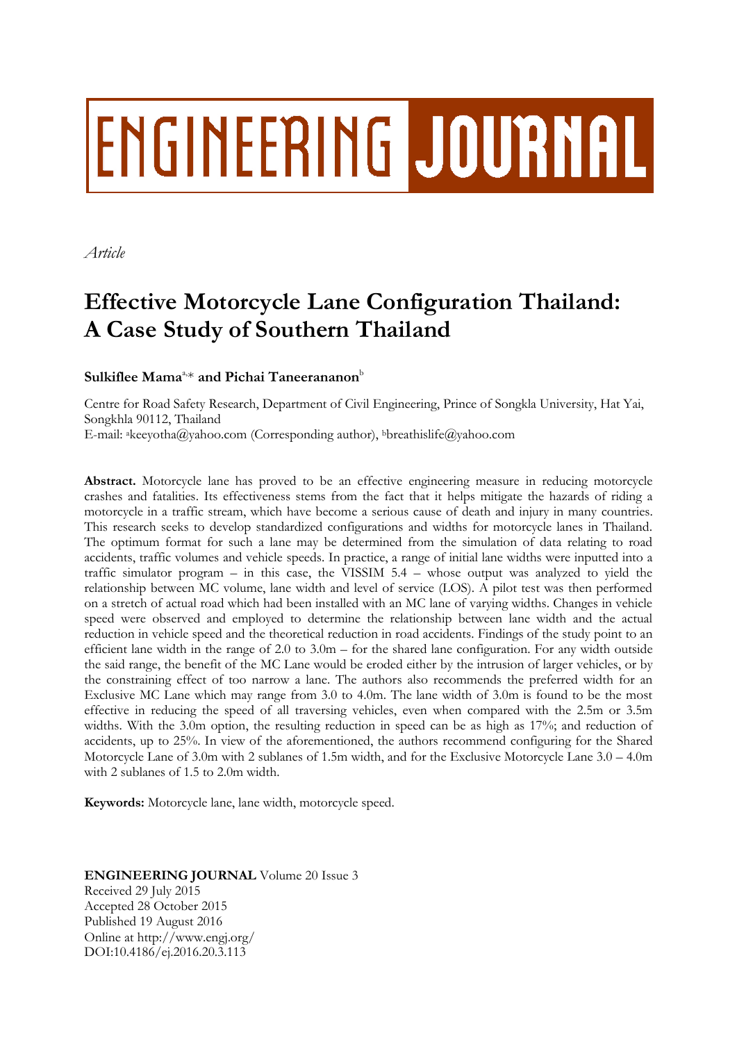# ENGINEERING JOURNAL

*Article*

# **Effective Motorcycle Lane Configuration Thailand: A Case Study of Southern Thailand**

 $\mathbf S$ ulkiflee Mama $^\text{a,*}$  and Pichai Taneerananon $^\text{b}$ 

Centre for Road Safety Research, Department of Civil Engineering, Prince of Songkla University, Hat Yai, Songkhla 90112, Thailand E-mail: <sup>a</sup>[keeyotha@yahoo.com](mailto:akeeyotha@yahoo.com) (Corresponding author), <sup>b</sup>breathislife@yahoo.com

**Abstract.** Motorcycle lane has proved to be an effective engineering measure in reducing motorcycle crashes and fatalities. Its effectiveness stems from the fact that it helps mitigate the hazards of riding a motorcycle in a traffic stream, which have become a serious cause of death and injury in many countries. This research seeks to develop standardized configurations and widths for motorcycle lanes in Thailand. The optimum format for such a lane may be determined from the simulation of data relating to road accidents, traffic volumes and vehicle speeds. In practice, a range of initial lane widths were inputted into a traffic simulator program – in this case, the VISSIM 5.4 – whose output was analyzed to yield the relationship between MC volume, lane width and level of service (LOS). A pilot test was then performed on a stretch of actual road which had been installed with an MC lane of varying widths. Changes in vehicle speed were observed and employed to determine the relationship between lane width and the actual reduction in vehicle speed and the theoretical reduction in road accidents. Findings of the study point to an efficient lane width in the range of 2.0 to 3.0m – for the shared lane configuration. For any width outside the said range, the benefit of the MC Lane would be eroded either by the intrusion of larger vehicles, or by the constraining effect of too narrow a lane. The authors also recommends the preferred width for an Exclusive MC Lane which may range from 3.0 to 4.0m. The lane width of 3.0m is found to be the most effective in reducing the speed of all traversing vehicles, even when compared with the 2.5m or 3.5m widths. With the 3.0m option, the resulting reduction in speed can be as high as 17%; and reduction of accidents, up to 25%. In view of the aforementioned, the authors recommend configuring for the Shared Motorcycle Lane of 3.0m with 2 sublanes of 1.5m width, and for the Exclusive Motorcycle Lane 3.0 – 4.0m with 2 sublanes of 1.5 to 2.0m width.

**Keywords:** Motorcycle lane, lane width, motorcycle speed.

## **ENGINEERING JOURNAL** Volume 20 Issue 3 Received 29 July 2015 Accepted 28 October 2015 Published 19 August 2016 Online at http://www.engj.org/ DOI:10.4186/ej.2016.20.3.113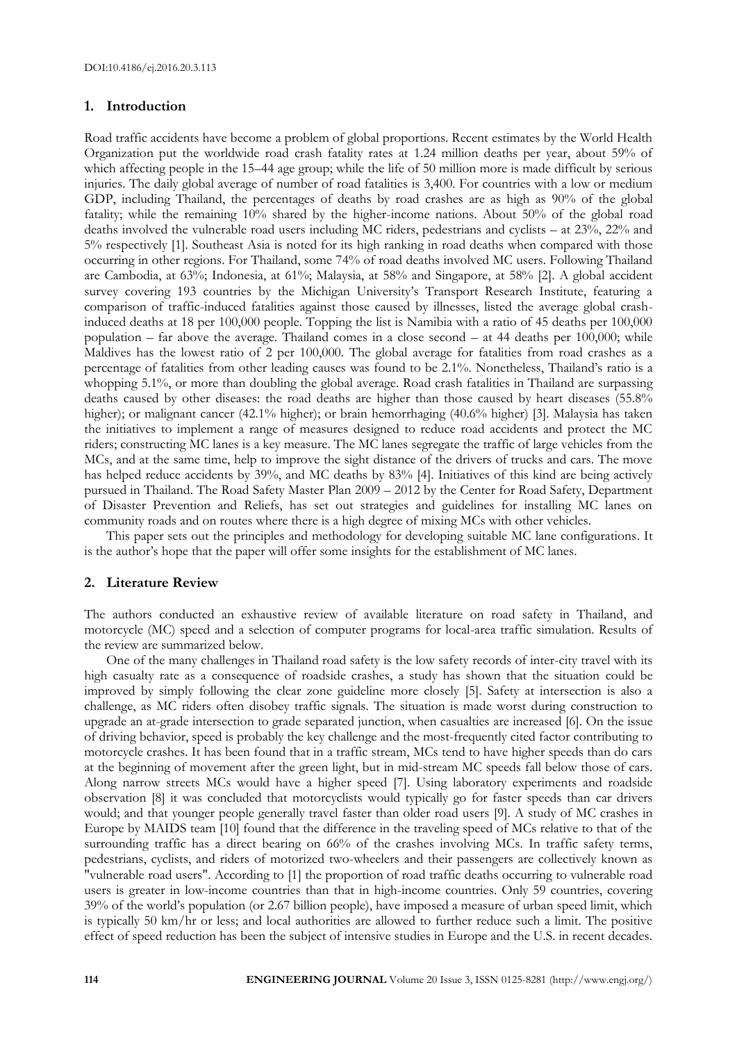#### **1. Introduction**

Road traffic accidents have become a problem of global proportions. Recent estimates by the World Health Organization put the worldwide road crash fatality rates at 1.24 million deaths per year, about 59% of which affecting people in the 15–44 age group; while the life of 50 million more is made difficult by serious injuries. The daily global average of number of road fatalities is 3,400. For countries with a low or medium GDP, including Thailand, the percentages of deaths by road crashes are as high as 90% of the global fatality; while the remaining 10% shared by the higher-income nations. About 50% of the global road deaths involved the vulnerable road users including MC riders, pedestrians and cyclists – at 23%, 22% and 5% respectively [1]. Southeast Asia is noted for its high ranking in road deaths when compared with those occurring in other regions. For Thailand, some 74% of road deaths involved MC users. Following Thailand are Cambodia, at 63%; Indonesia, at 61%; Malaysia, at 58% and Singapore, at 58% [2]. A global accident survey covering 193 countries by the Michigan University's Transport Research Institute, featuring a comparison of traffic-induced fatalities against those caused by illnesses, listed the average global crashinduced deaths at 18 per 100,000 people. Topping the list is Namibia with a ratio of 45 deaths per 100,000 population – far above the average. Thailand comes in a close second – at 44 deaths per 100,000; while Maldives has the lowest ratio of 2 per 100,000. The global average for fatalities from road crashes as a percentage of fatalities from other leading causes was found to be 2.1%. Nonetheless, Thailand's ratio is a whopping 5.1%, or more than doubling the global average. Road crash fatalities in Thailand are surpassing deaths caused by other diseases: the road deaths are higher than those caused by heart diseases (55.8% higher); or malignant cancer (42.1% higher); or brain hemorrhaging (40.6% higher) [3]. Malaysia has taken the initiatives to implement a range of measures designed to reduce road accidents and protect the MC riders; constructing MC lanes is a key measure. The MC lanes segregate the traffic of large vehicles from the MCs, and at the same time, help to improve the sight distance of the drivers of trucks and cars. The move has helped reduce accidents by 39%, and MC deaths by 83% [4]. Initiatives of this kind are being actively pursued in Thailand. The Road Safety Master Plan 2009 – 2012 by the Center for Road Safety, Department of Disaster Prevention and Reliefs, has set out strategies and guidelines for installing MC lanes on community roads and on routes where there is a high degree of mixing MCs with other vehicles.

This paper sets out the principles and methodology for developing suitable MC lane configurations. It is the author's hope that the paper will offer some insights for the establishment of MC lanes.

#### **2. Literature Review**

The authors conducted an exhaustive review of available literature on road safety in Thailand, and motorcycle (MC) speed and a selection of computer programs for local-area traffic simulation. Results of the review are summarized below.

One of the many challenges in Thailand road safety is the low safety records of inter-city travel with its high casualty rate as a consequence of roadside crashes, a study has shown that the situation could be improved by simply following the clear zone guideline more closely [5]. Safety at intersection is also a challenge, as MC riders often disobey traffic signals. The situation is made worst during construction to upgrade an at-grade intersection to grade separated junction, when casualties are increased [6]. On the issue of driving behavior, speed is probably the key challenge and the most-frequently cited factor contributing to motorcycle crashes. It has been found that in a traffic stream, MCs tend to have higher speeds than do cars at the beginning of movement after the green light, but in mid-stream MC speeds fall below those of cars. Along narrow streets MCs would have a higher speed [7]. Using laboratory experiments and roadside observation [8] it was concluded that motorcyclists would typically go for faster speeds than car drivers would; and that younger people generally travel faster than older road users [9]. A study of MC crashes in Europe by MAIDS team [10] found that the difference in the traveling speed of MCs relative to that of the surrounding traffic has a direct bearing on 66% of the crashes involving MCs. In traffic safety terms, pedestrians, cyclists, and riders of motorized two-wheelers and their passengers are collectively known as "vulnerable road users". According to [1] the proportion of road traffic deaths occurring to vulnerable road users is greater in low-income countries than that in high-income countries. Only 59 countries, covering 39% of the world's population (or 2.67 billion people), have imposed a measure of urban speed limit, which is typically 50 km/hr or less; and local authorities are allowed to further reduce such a limit. The positive effect of speed reduction has been the subject of intensive studies in Europe and the U.S. in recent decades.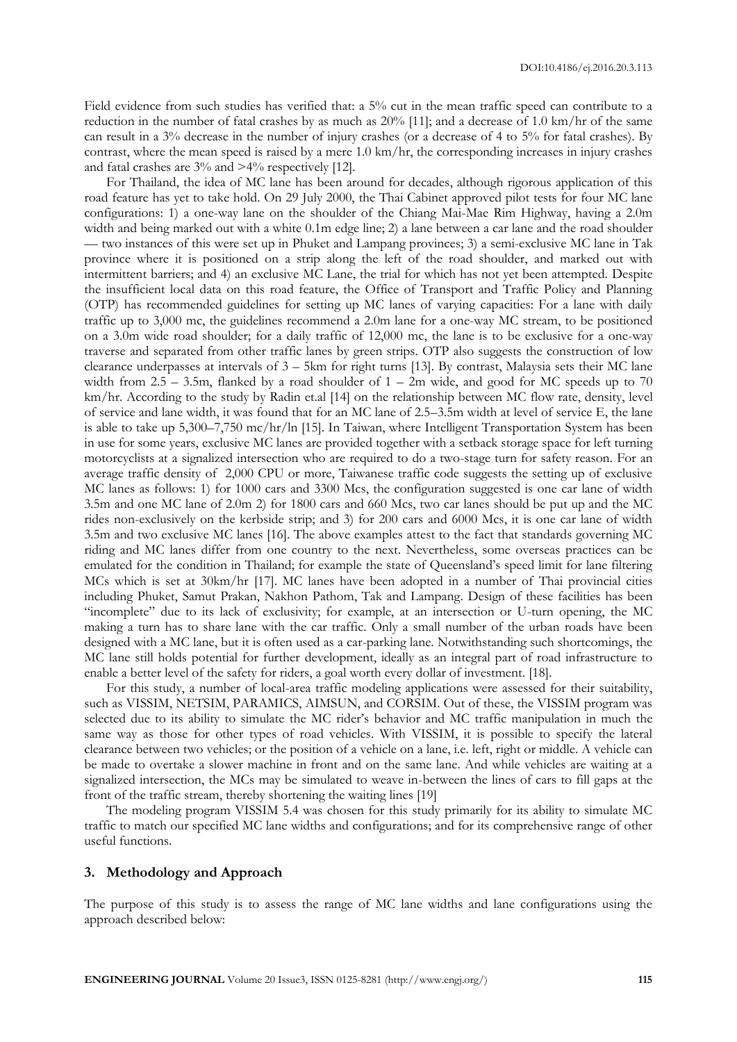Field evidence from such studies has verified that: a 5% cut in the mean traffic speed can contribute to a reduction in the number of fatal crashes by as much as 20% [11]; and a decrease of 1.0 km/hr of the same can result in a 3% decrease in the number of injury crashes (or a decrease of 4 to 5% for fatal crashes). By contrast, where the mean speed is raised by a mere 1.0 km/hr, the corresponding increases in injury crashes and fatal crashes are 3% and >4% respectively [12].

For Thailand, the idea of MC lane has been around for decades, although rigorous application of this road feature has yet to take hold. On 29 July 2000, the Thai Cabinet approved pilot tests for four MC lane configurations: 1) a one-way lane on the shoulder of the Chiang Mai-Mae Rim Highway, having a 2.0m width and being marked out with a white 0.1m edge line; 2) a lane between a car lane and the road shoulder — two instances of this were set up in Phuket and Lampang provinces; 3) a semi-exclusive MC lane in Tak province where it is positioned on a strip along the left of the road shoulder, and marked out with intermittent barriers; and 4) an exclusive MC Lane, the trial for which has not yet been attempted. Despite the insufficient local data on this road feature, the Office of Transport and Traffic Policy and Planning (OTP) has recommended guidelines for setting up MC lanes of varying capacities: For a lane with daily traffic up to 3,000 mc, the guidelines recommend a 2.0m lane for a one-way MC stream, to be positioned on a 3.0m wide road shoulder; for a daily traffic of 12,000 mc, the lane is to be exclusive for a one-way traverse and separated from other traffic lanes by green strips. OTP also suggests the construction of low clearance underpasses at intervals of 3 – 5km for right turns [13]. By contrast, Malaysia sets their MC lane width from  $2.5 - 3.5$ m, flanked by a road shoulder of  $1 - 2m$  wide, and good for MC speeds up to 70 km/hr. According to the study by Radin et.al [14] on the relationship between MC flow rate, density, level of service and lane width, it was found that for an MC lane of 2.5–3.5m width at level of service E, the lane is able to take up 5,300–7,750 mc/hr/ln [15]. In Taiwan, where Intelligent Transportation System has been in use for some years, exclusive MC lanes are provided together with a setback storage space for left turning motorcyclists at a signalized intersection who are required to do a two-stage turn for safety reason. For an average traffic density of 2,000 CPU or more, Taiwanese traffic code suggests the setting up of exclusive MC lanes as follows: 1) for 1000 cars and 3300 Mcs, the configuration suggested is one car lane of width 3.5m and one MC lane of 2.0m 2) for 1800 cars and 660 Mcs, two car lanes should be put up and the MC rides non-exclusively on the kerbside strip; and 3) for 200 cars and 6000 Mcs, it is one car lane of width 3.5m and two exclusive MC lanes [16]. The above examples attest to the fact that standards governing MC riding and MC lanes differ from one country to the next. Nevertheless, some overseas practices can be emulated for the condition in Thailand; for example the state of Queensland's speed limit for lane filtering MCs which is set at 30km/hr [17]. MC lanes have been adopted in a number of Thai provincial cities including Phuket, Samut Prakan, Nakhon Pathom, Tak and Lampang. Design of these facilities has been "incomplete" due to its lack of exclusivity; for example, at an intersection or U-turn opening, the MC making a turn has to share lane with the car traffic. Only a small number of the urban roads have been designed with a MC lane, but it is often used as a car-parking lane. Notwithstanding such shortcomings, the MC lane still holds potential for further development, ideally as an integral part of road infrastructure to enable a better level of the safety for riders, a goal worth every dollar of investment. [18].

For this study, a number of local-area traffic modeling applications were assessed for their suitability, such as VISSIM, NETSIM, PARAMICS, AIMSUN, and CORSIM. Out of these, the VISSIM program was selected due to its ability to simulate the MC rider's behavior and MC traffic manipulation in much the same way as those for other types of road vehicles. With VISSIM, it is possible to specify the lateral clearance between two vehicles; or the position of a vehicle on a lane, i.e. left, right or middle. A vehicle can be made to overtake a slower machine in front and on the same lane. And while vehicles are waiting at a signalized intersection, the MCs may be simulated to weave in-between the lines of cars to fill gaps at the front of the traffic stream, thereby shortening the waiting lines [19]

The modeling program VISSIM 5.4 was chosen for this study primarily for its ability to simulate MC traffic to match our specified MC lane widths and configurations; and for its comprehensive range of other useful functions.

#### **3. Methodology and Approach**

The purpose of this study is to assess the range of MC lane widths and lane configurations using the approach described below: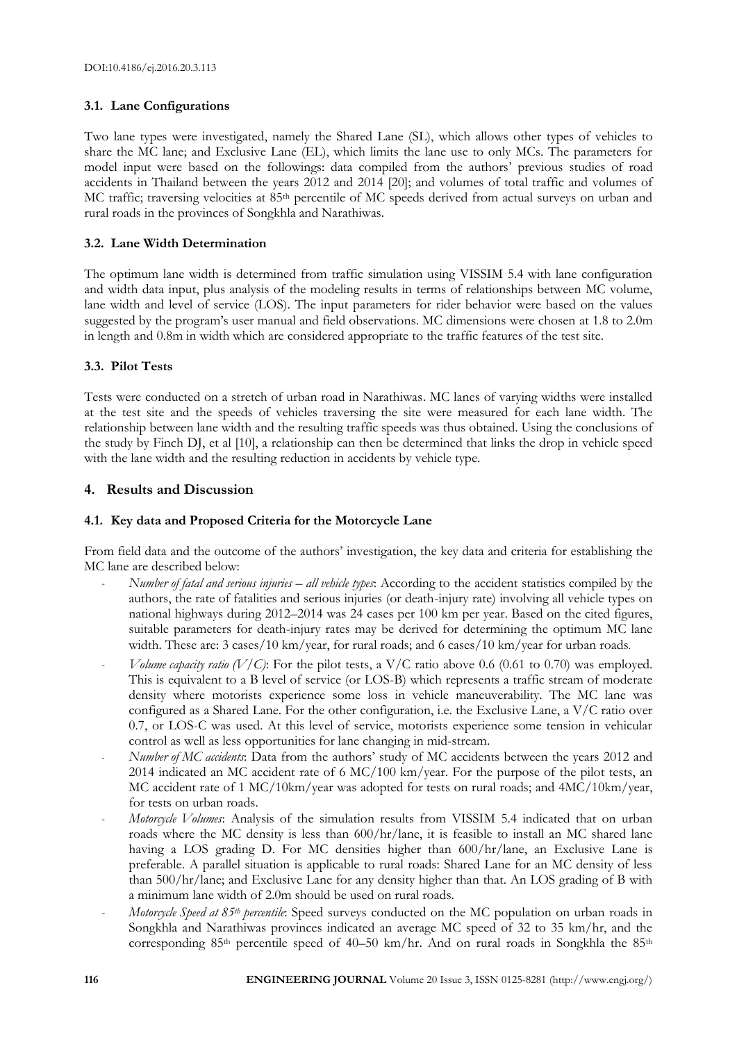#### **3.1. Lane Configurations**

Two lane types were investigated, namely the Shared Lane (SL), which allows other types of vehicles to share the MC lane; and Exclusive Lane (EL), which limits the lane use to only MCs. The parameters for model input were based on the followings: data compiled from the authors' previous studies of road accidents in Thailand between the years 2012 and 2014 [20]; and volumes of total traffic and volumes of MC traffic; traversing velocities at 85th percentile of MC speeds derived from actual surveys on urban and rural roads in the provinces of Songkhla and Narathiwas.

## **3.2. Lane Width Determination**

The optimum lane width is determined from traffic simulation using VISSIM 5.4 with lane configuration and width data input, plus analysis of the modeling results in terms of relationships between MC volume, lane width and level of service (LOS). The input parameters for rider behavior were based on the values suggested by the program's user manual and field observations. MC dimensions were chosen at 1.8 to 2.0m in length and 0.8m in width which are considered appropriate to the traffic features of the test site.

# **3.3. Pilot Tests**

Tests were conducted on a stretch of urban road in Narathiwas. MC lanes of varying widths were installed at the test site and the speeds of vehicles traversing the site were measured for each lane width. The relationship between lane width and the resulting traffic speeds was thus obtained. Using the conclusions of the study by Finch DJ, et al [10], a relationship can then be determined that links the drop in vehicle speed with the lane width and the resulting reduction in accidents by vehicle type.

# **4. Results and Discussion**

# **4.1. Key data and Proposed Criteria for the Motorcycle Lane**

From field data and the outcome of the authors' investigation, the key data and criteria for establishing the MC lane are described below:

- *Number of fatal and serious injuries – all vehicle types*: According to the accident statistics compiled by the authors, the rate of fatalities and serious injuries (or death-injury rate) involving all vehicle types on national highways during 2012–2014 was 24 cases per 100 km per year. Based on the cited figures, suitable parameters for death-injury rates may be derived for determining the optimum MC lane width. These are: 3 cases/10 km/year, for rural roads; and 6 cases/10 km/year for urban roads.
- *Volume capacity ratio (V/C)*: For the pilot tests, a V/C ratio above 0.6 (0.61 to 0.70) was employed. This is equivalent to a B level of service (or LOS-B) which represents a traffic stream of moderate density where motorists experience some loss in vehicle maneuverability. The MC lane was configured as a Shared Lane. For the other configuration, i.e. the Exclusive Lane, a V/C ratio over 0.7, or LOS-C was used. At this level of service, motorists experience some tension in vehicular control as well as less opportunities for lane changing in mid-stream.
- *Number of MC accidents*: Data from the authors' study of MC accidents between the years 2012 and 2014 indicated an MC accident rate of 6 MC/100 km/year. For the purpose of the pilot tests, an MC accident rate of 1 MC/10km/year was adopted for tests on rural roads; and 4MC/10km/year, for tests on urban roads.
- *Motorcycle Volumes*: Analysis of the simulation results from VISSIM 5.4 indicated that on urban roads where the MC density is less than 600/hr/lane, it is feasible to install an MC shared lane having a LOS grading D. For MC densities higher than 600/hr/lane, an Exclusive Lane is preferable. A parallel situation is applicable to rural roads: Shared Lane for an MC density of less than 500/hr/lane; and Exclusive Lane for any density higher than that. An LOS grading of B with a minimum lane width of 2.0m should be used on rural roads.
- *Motorcycle Speed at 85th percentile*: Speed surveys conducted on the MC population on urban roads in Songkhla and Narathiwas provinces indicated an average MC speed of 32 to 35 km/hr, and the corresponding  $85<sup>th</sup>$  percentile speed of 40–50 km/hr. And on rural roads in Songkhla the  $85<sup>th</sup>$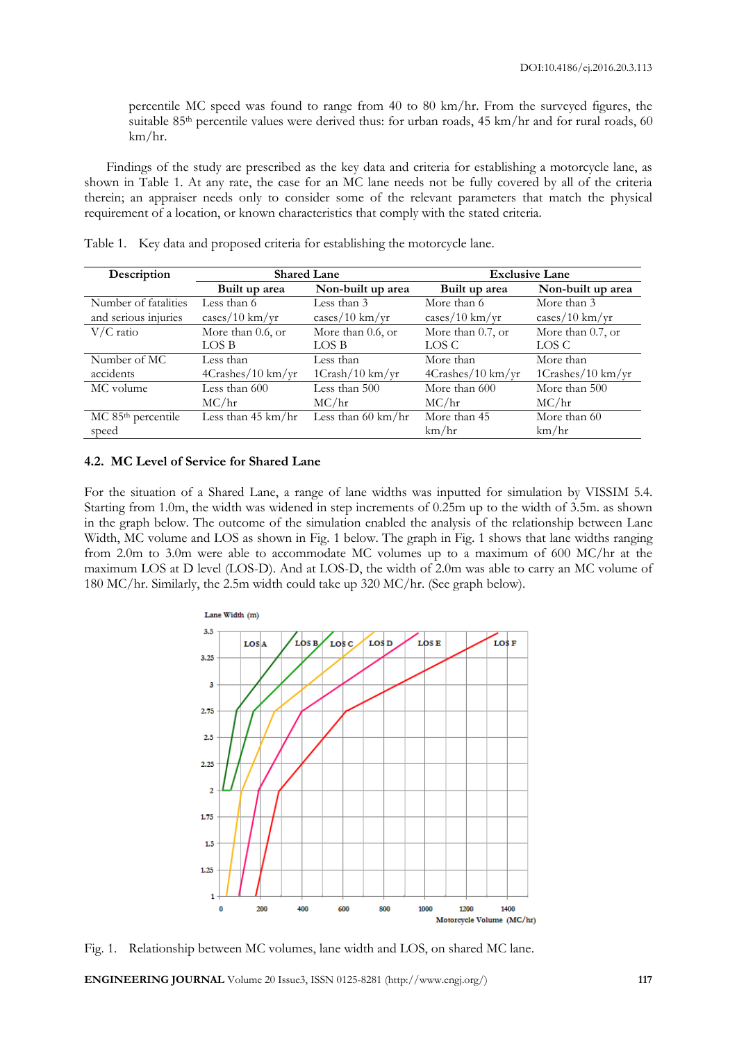percentile MC speed was found to range from 40 to 80 km/hr. From the surveyed figures, the suitable 85<sup>th</sup> percentile values were derived thus: for urban roads, 45 km/hr and for rural roads, 60 km/hr.

Findings of the study are prescribed as the key data and criteria for establishing a motorcycle lane, as shown in Table 1. At any rate, the case for an MC lane needs not be fully covered by all of the criteria therein; an appraiser needs only to consider some of the relevant parameters that match the physical requirement of a location, or known characteristics that comply with the stated criteria.

| Description                    | <b>Shared Lane</b>                             |                              | <b>Exclusive Lane</b>                          |                                    |
|--------------------------------|------------------------------------------------|------------------------------|------------------------------------------------|------------------------------------|
|                                | Built up area                                  | Non-built up area            | Built up area                                  | Non-built up area                  |
| Number of fatalities           | Less than 6                                    | Less than 3                  | More than 6                                    | More than 3                        |
| and serious injuries           | $\frac{\text{cases}}{10 \text{ km}/\text{yr}}$ | $cases/10 \text{ km/yr}$     | $\frac{\text{cases}}{10 \text{ km}/\text{yr}}$ | $\frac{2}{\text{cases}}$ /10 km/yr |
| $V/C$ ratio                    | More than 0.6, or                              | More than 0.6, or            | More than 0.7, or                              | More than 0.7, or                  |
|                                | LOS B                                          | LOS B                        | LOS C                                          | LOS C                              |
| Number of MC                   | Less than                                      | Less than                    | More than                                      | More than                          |
| accidents                      | $4Crashes/10 \text{ km/yr}$                    | 1Crash/10 km/yr              | 4Crashes/10 km/yr                              | 1Crashes/10 km/yr                  |
| MC volume                      | Less than 600                                  | Less than 500                | More than 600                                  | More than 500                      |
|                                | MC/hr                                          | MC/hr                        | MC/hr                                          | MC/hr                              |
| MC 85 <sup>th</sup> percentile | Less than $45 \text{ km/hr}$                   | Less than $60 \text{ km/hr}$ | More than 45                                   | More than 60                       |
| speed                          |                                                |                              | km/hr                                          | km/hr                              |

Table 1. Key data and proposed criteria for establishing the motorcycle lane.

#### **4.2. MC Level of Service for Shared Lane**

For the situation of a Shared Lane, a range of lane widths was inputted for simulation by VISSIM 5.4. Starting from 1.0m, the width was widened in step increments of 0.25m up to the width of 3.5m. as shown in the graph below. The outcome of the simulation enabled the analysis of the relationship between Lane Width, MC volume and LOS as shown in Fig. 1 below. The graph in Fig. 1 shows that lane widths ranging from 2.0m to 3.0m were able to accommodate MC volumes up to a maximum of 600 MC/hr at the maximum LOS at D level (LOS-D). And at LOS-D, the width of 2.0m was able to carry an MC volume of 180 MC/hr. Similarly, the 2.5m width could take up 320 MC/hr. (See graph below).



Fig. 1. Relationship between MC volumes, lane width and LOS, on shared MC lane.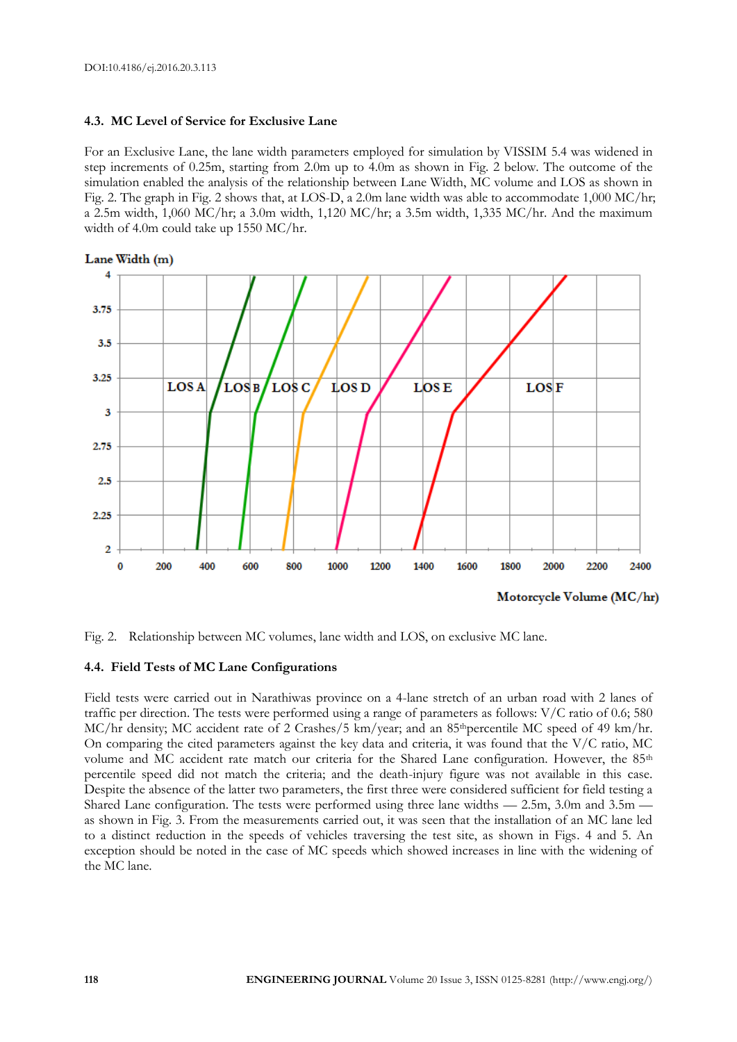#### **4.3. MC Level of Service for Exclusive Lane**

For an Exclusive Lane, the lane width parameters employed for simulation by VISSIM 5.4 was widened in step increments of 0.25m, starting from 2.0m up to 4.0m as shown in Fig. 2 below. The outcome of the simulation enabled the analysis of the relationship between Lane Width, MC volume and LOS as shown in Fig. 2. The graph in Fig. 2 shows that, at LOS-D, a 2.0m lane width was able to accommodate 1,000 MC/hr; a 2.5m width, 1,060 MC/hr; a 3.0m width, 1,120 MC/hr; a 3.5m width, 1,335 MC/hr. And the maximum width of 4.0m could take up 1550 MC/hr.



Fig. 2. Relationship between MC volumes, lane width and LOS, on exclusive MC lane.

#### **4.4. Field Tests of MC Lane Configurations**

Field tests were carried out in Narathiwas province on a 4-lane stretch of an urban road with 2 lanes of traffic per direction. The tests were performed using a range of parameters as follows: V/C ratio of 0.6; 580 MC/hr density; MC accident rate of 2 Crashes/5 km/year; and an 85<sup>th</sup>percentile MC speed of 49 km/hr. On comparing the cited parameters against the key data and criteria, it was found that the  $V/C$  ratio, MC volume and MC accident rate match our criteria for the Shared Lane configuration. However, the 85<sup>th</sup> percentile speed did not match the criteria; and the death-injury figure was not available in this case. Despite the absence of the latter two parameters, the first three were considered sufficient for field testing a Shared Lane configuration. The tests were performed using three lane widths — 2.5m, 3.0m and 3.5m as shown in Fig. 3. From the measurements carried out, it was seen that the installation of an MC lane led to a distinct reduction in the speeds of vehicles traversing the test site, as shown in Figs. 4 and 5. An exception should be noted in the case of MC speeds which showed increases in line with the widening of the MC lane.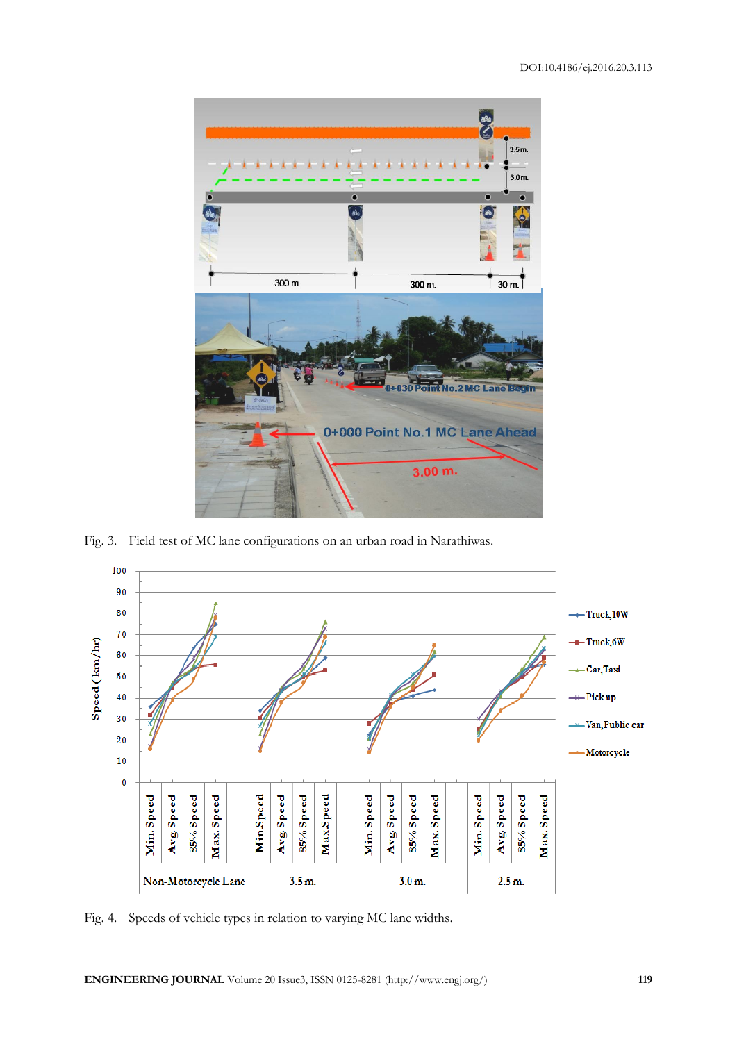

Fig. 3. Field test of MC lane configurations on an urban road in Narathiwas.



Fig. 4. Speeds of vehicle types in relation to varying MC lane widths.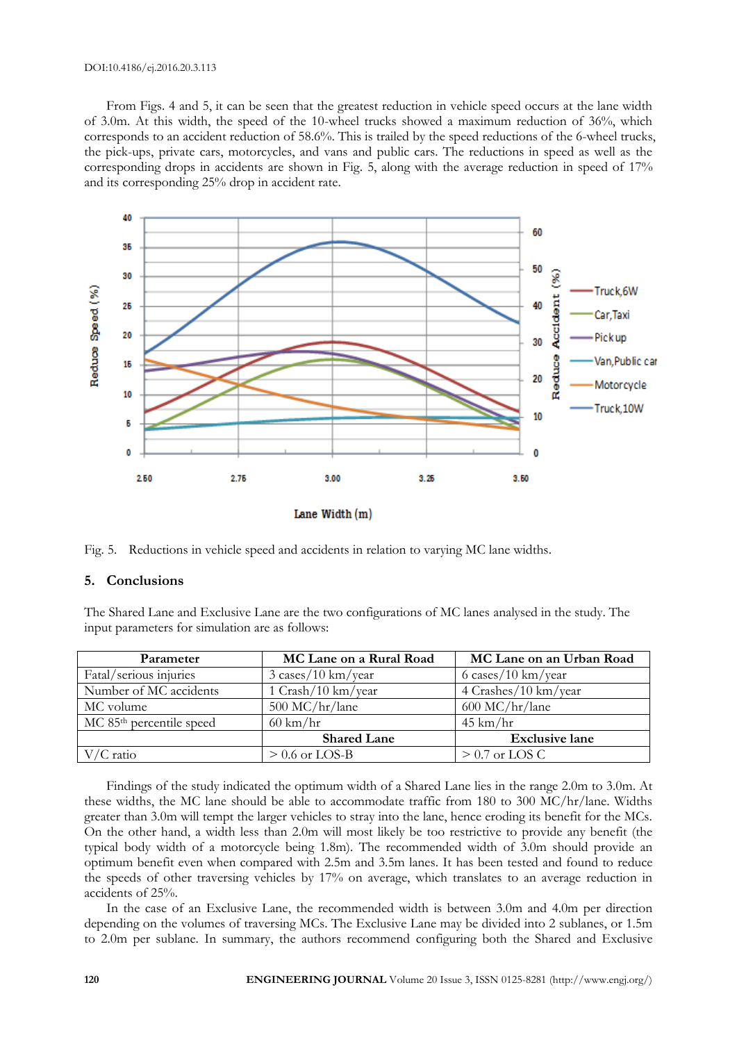#### DOI:10.4186/ej.2016.20.3.113

From Figs. 4 and 5, it can be seen that the greatest reduction in vehicle speed occurs at the lane width of 3.0m. At this width, the speed of the 10-wheel trucks showed a maximum reduction of 36%, which corresponds to an accident reduction of 58.6%. This is trailed by the speed reductions of the 6-wheel trucks, the pick-ups, private cars, motorcycles, and vans and public cars. The reductions in speed as well as the corresponding drops in accidents are shown in Fig. 5, along with the average reduction in speed of 17% and its corresponding 25% drop in accident rate.



Fig. 5. Reductions in vehicle speed and accidents in relation to varying MC lane widths.

#### **5. Conclusions**

The Shared Lane and Exclusive Lane are the two configurations of MC lanes analysed in the study. The input parameters for simulation are as follows:

| Parameter                            | MC Lane on a Rural Road       | MC Lane on an Urban Road |  |
|--------------------------------------|-------------------------------|--------------------------|--|
| Fatal/serious injuries               | $3 \cases/10 \text{ km/year}$ | 6 cases/10 km/year       |  |
| Number of MC accidents               | $1$ Crash/ $10$ km/year       | $4$ Crashes/10 km/year   |  |
| MC volume                            | $500$ MC/hr/lane              | $600$ MC/hr/lane         |  |
| MC 85 <sup>th</sup> percentile speed | $60 \text{ km/hr}$            | $45 \text{ km/hr}$       |  |
|                                      | <b>Shared Lane</b>            | <b>Exclusive lane</b>    |  |
| $V/C$ ratio                          | $> 0.6$ or LOS-B              | $> 0.7$ or LOS C         |  |

Findings of the study indicated the optimum width of a Shared Lane lies in the range 2.0m to 3.0m. At these widths, the MC lane should be able to accommodate traffic from 180 to 300 MC/hr/lane. Widths greater than 3.0m will tempt the larger vehicles to stray into the lane, hence eroding its benefit for the MCs. On the other hand, a width less than 2.0m will most likely be too restrictive to provide any benefit (the typical body width of a motorcycle being 1.8m). The recommended width of 3.0m should provide an optimum benefit even when compared with 2.5m and 3.5m lanes. It has been tested and found to reduce the speeds of other traversing vehicles by 17% on average, which translates to an average reduction in accidents of 25%.

In the case of an Exclusive Lane, the recommended width is between 3.0m and 4.0m per direction depending on the volumes of traversing MCs. The Exclusive Lane may be divided into 2 sublanes, or 1.5m to 2.0m per sublane. In summary, the authors recommend configuring both the Shared and Exclusive